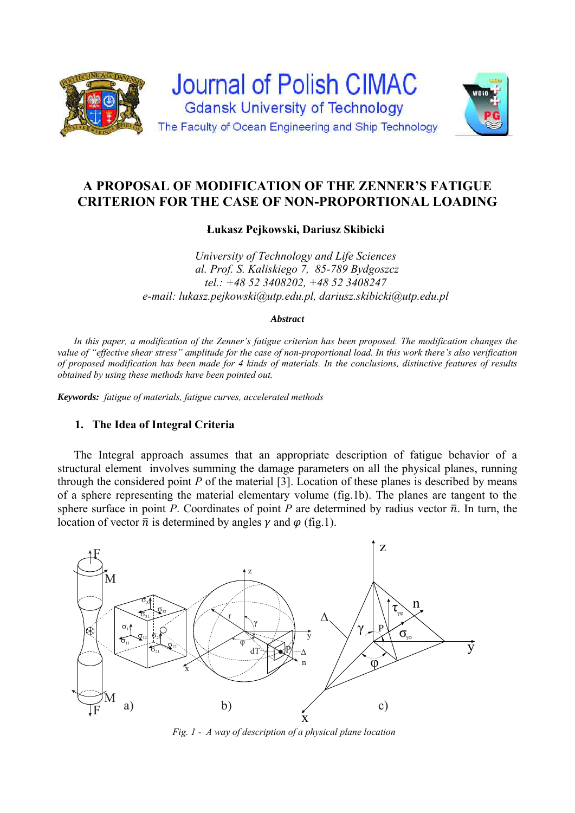



**Łukasz Pejkowski, Dariusz Skibicki** 

*University of Technology and Life Sciences al. Prof. S. Kaliskiego 7, 85-789 Bydgoszcz tel.: +48 52 3408202, +48 52 3408247 e-mail: lukasz.pejkowski@utp.edu.pl, dariusz.skibicki@utp.edu.pl* 

### *Abstract*

*In this paper, a modification of the Zenner's fatigue criterion has been proposed. The modification changes the value of "effective shear stress" amplitude for the case of non-proportional load. In this work there's also verification of proposed modification has been made for 4 kinds of materials. In the conclusions, distinctive features of results obtained by using these methods have been pointed out.* 

*Keywords: fatigue of materials, fatigue curves, accelerated methods*

# **1. The Idea of Integral Criteria**

 The Integral approach assumes that an appropriate description of fatigue behavior of a structural element involves summing the damage parameters on all the physical planes, running through the considered point  $P$  of the material [3]. Location of these planes is described by means of a sphere representing the material elementary volume (fig.1b). The planes are tangent to the sphere surface in point *P*. Coordinates of point *P* are determined by radius vector  $\bar{n}$ . In turn, the location of vector  $\bar{n}$  is determined by angles  $\gamma$  and  $\varphi$  (fig.1).



*Fig. 1 - A way of description of a physical plane location*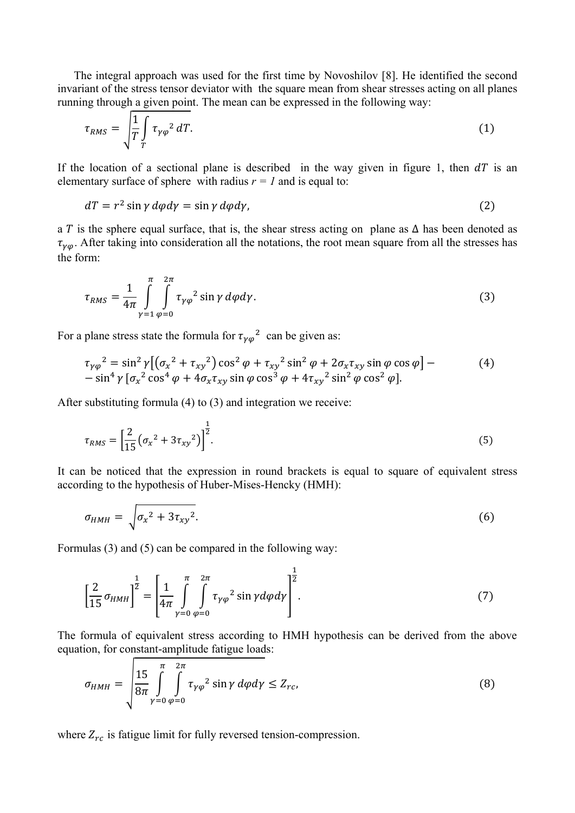The integral approach was used for the first time by Novoshilov [8]. He identified the second invariant of the stress tensor deviator with the square mean from shear stresses acting on all planes running through a given point. The mean can be expressed in the following way:

$$
\tau_{RMS} = \sqrt{\frac{1}{T} \int_{T} \tau_{\gamma \varphi}^2 dT}.
$$
\n(1)

If the location of a sectional plane is described in the way given in figure 1, then  $dT$  is an elementary surface of sphere with radius  $r = 1$  and is equal to:

$$
dT = r^2 \sin \gamma \, d\varphi d\gamma = \sin \gamma \, d\varphi d\gamma, \tag{2}
$$

a T is the sphere equal surface, that is, the shear stress acting on plane as  $\Delta$  has been denoted as  $\tau_{\nu\varphi}$ . After taking into consideration all the notations, the root mean square from all the stresses has the form:

$$
\tau_{RMS} = \frac{1}{4\pi} \int_{\gamma=1}^{\pi} \int_{\varphi=0}^{2\pi} \tau_{\gamma\varphi}^2 \sin\gamma \,d\varphi d\gamma. \tag{3}
$$

For a plane stress state the formula for  $\tau_{\nu\varphi}^2$  can be given as:

$$
\tau_{\gamma\varphi}^{2} = \sin^{2}\gamma \left[ \left( \sigma_{x}^{2} + \tau_{xy}^{2} \right) \cos^{2}\varphi + \tau_{xy}^{2} \sin^{2}\varphi + 2\sigma_{x}\tau_{xy} \sin\varphi \cos\varphi \right] - \sin^{4}\gamma \left[ \sigma_{x}^{2} \cos^{4}\varphi + 4\sigma_{x}\tau_{xy} \sin\varphi \cos^{3}\varphi + 4\tau_{xy}^{2} \sin^{2}\varphi \cos^{2}\varphi \right].
$$
\n(4)

After substituting formula (4) to (3) and integration we receive:

$$
\tau_{RMS} = \left[\frac{2}{15}(\sigma_x^2 + 3\tau_{xy}^2)\right]^{\frac{1}{2}}.
$$
\n(5)

It can be noticed that the expression in round brackets is equal to square of equivalent stress according to the hypothesis of Huber-Mises-Hencky (HMH):

$$
\sigma_{HMH} = \sqrt{\sigma_x^2 + 3\tau_{xy}^2}.\tag{6}
$$

Formulas (3) and (5) can be compared in the following way:

$$
\left[\frac{2}{15}\sigma_{HMH}\right]^{\frac{1}{2}} = \left[\frac{1}{4\pi} \int_{\gamma=0}^{\pi} \int_{\varphi=0}^{2\pi} \tau_{\gamma\varphi}^{2} \sin\gamma d\varphi d\gamma\right]^{\frac{1}{2}}.
$$
 (7)

The formula of equivalent stress according to HMH hypothesis can be derived from the above equation, for constant-amplitude fatigue loads:

$$
\sigma_{HMH} = \sqrt{\frac{15}{8\pi} \int_{\gamma=0}^{\pi} \int_{\varphi=0}^{2\pi} \tau_{\gamma\varphi}^2 \sin\gamma \,d\varphi d\gamma} \le Z_{rc},\tag{8}
$$

where  $Z_{rc}$  is fatigue limit for fully reversed tension-compression.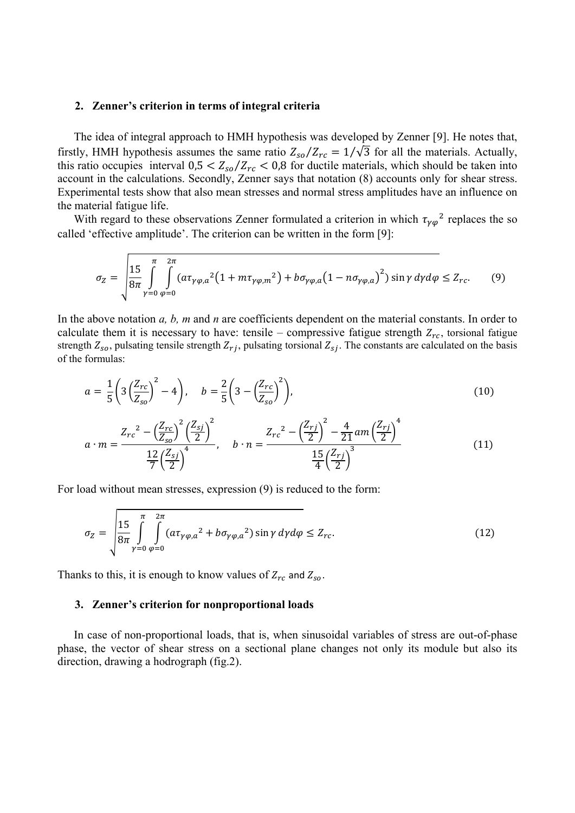### **2. Zenner's criterion in terms of integral criteria**

The idea of integral approach to HMH hypothesis was developed by Zenner [9]. He notes that, firstly, HMH hypothesis assumes the same ratio  $Z_{so}/Z_{rc} = 1/\sqrt{3}$  for all the materials. Actually, this ratio occupies interval  $0.5 < Z_{so}/Z_{rc} < 0.8$  for ductile materials, which should be taken into account in the calculations. Secondly, Zenner says that notation (8) accounts only for shear stress. Experimental tests show that also mean stresses and normal stress amplitudes have an influence on the material fatigue life.

With regard to these observations Zenner formulated a criterion in which  $\tau_{\nu\varphi}^2$  replaces the so called 'effective amplitude'. The criterion can be written in the form [9]:

$$
\sigma_Z = \sqrt{\frac{15}{8\pi} \int\limits_{\gamma=0}^{\pi} \int\limits_{\varphi=0}^{2\pi} (a\tau_{\gamma\varphi,a}^2 (1 + m\tau_{\gamma\varphi,m}^2) + b\sigma_{\gamma\varphi,a} (1 - n\sigma_{\gamma\varphi,a})^2) \sin\gamma \,d\gamma d\varphi} \le Z_{rc}.
$$
 (9)

In the above notation *a, b, m* and *n* are coefficients dependent on the material constants. In order to calculate them it is necessary to have: tensile – compressive fatigue strength  $Z_{rc}$ , torsional fatigue strength  $Z_{so}$ , pulsating tensile strength  $Z_{rj}$ , pulsating torsional  $Z_{sj}$ . The constants are calculated on the basis of the formulas:

$$
a = \frac{1}{5} \left( 3 \left( \frac{Z_{rc}}{Z_{so}} \right)^2 - 4 \right), \quad b = \frac{2}{5} \left( 3 - \left( \frac{Z_{rc}}{Z_{so}} \right)^2 \right), \tag{10}
$$

$$
a \cdot m = \frac{Z_{rc}^2 - \left(\frac{Z_{rc}}{Z_{so}}\right)^2 \left(\frac{Z_{sj}}{2}\right)^2}{\frac{12}{7} \left(\frac{Z_{sj}}{2}\right)^4}, \quad b \cdot n = \frac{Z_{rc}^2 - \left(\frac{Z_{rj}}{2}\right)^2 - \frac{4}{21}am\left(\frac{Z_{rj}}{2}\right)^4}{\frac{15}{4} \left(\frac{Z_{rj}}{2}\right)^3}
$$
(11)

For load without mean stresses, expression (9) is reduced to the form:

$$
\sigma_Z = \sqrt{\frac{15}{8\pi} \int\limits_{\gamma=0}^{\pi} \int\limits_{\varphi=0}^{2\pi} (\boldsymbol{a}\tau_{\gamma\varphi,a}^2 + \boldsymbol{b}\sigma_{\gamma\varphi,a}^2) \sin\gamma \,d\gamma d\varphi} \leq Z_{rc}.
$$
 (12)

Thanks to this, it is enough to know values of  $Z_{rc}$  and  $Z_{so}$ .

#### **3. Zenner's criterion for nonproportional loads**

In case of non-proportional loads, that is, when sinusoidal variables of stress are out-of-phase phase, the vector of shear stress on a sectional plane changes not only its module but also its direction, drawing a hodrograph (fig.2).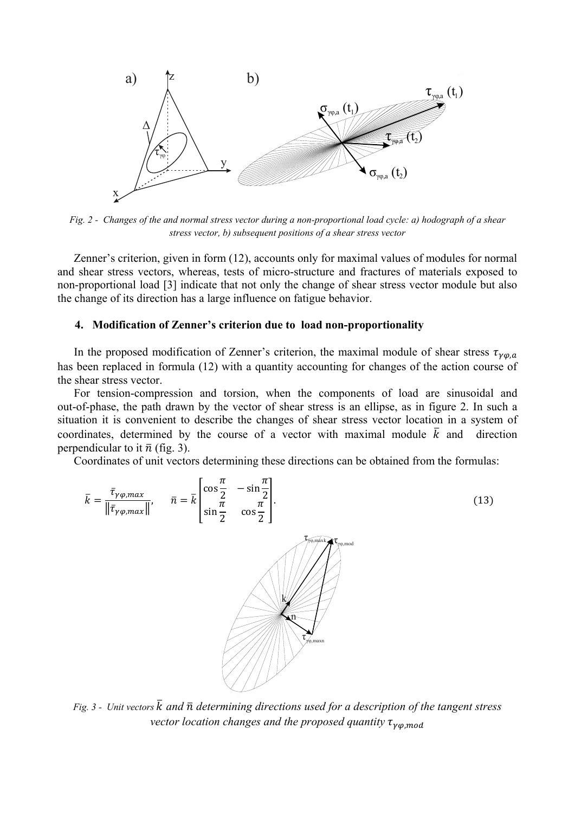

*Fig. 2 - Changes of the and normal stress vector during a non-proportional load cycle: a) hodograph of a shear stress vector, b) subsequent positions of a shear stress vector* 

 Zenner's criterion, given in form (12), accounts only for maximal values of modules for normal and shear stress vectors, whereas, tests of micro-structure and fractures of materials exposed to non-proportional load [3] indicate that not only the change of shear stress vector module but also the change of its direction has a large influence on fatigue behavior.

## **4. Modification of Zenner's criterion due to load non-proportionality**

In the proposed modification of Zenner's criterion, the maximal module of shear stress  $\tau_{\nu\varphi,a}$ has been replaced in formula (12) with a quantity accounting for changes of the action course of the shear stress vector.

For tension-compression and torsion, when the components of load are sinusoidal and out-of-phase, the path drawn by the vector of shear stress is an ellipse, as in figure 2. In such a situation it is convenient to describe the changes of shear stress vector location in a system of coordinates, determined by the course of a vector with maximal module  $\overline{k}$  and direction perpendicular to it  $\bar{n}$  (fig. 3).

Coordinates of unit vectors determining these directions can be obtained from the formulas:



*Fig. 3 - Unit vectors*  $\bar{k}$  *and*  $\bar{n}$  *determining directions used for a description of the tangent stress vector location changes and the proposed quantity*  $\tau_{\gamma\varphi,mod}$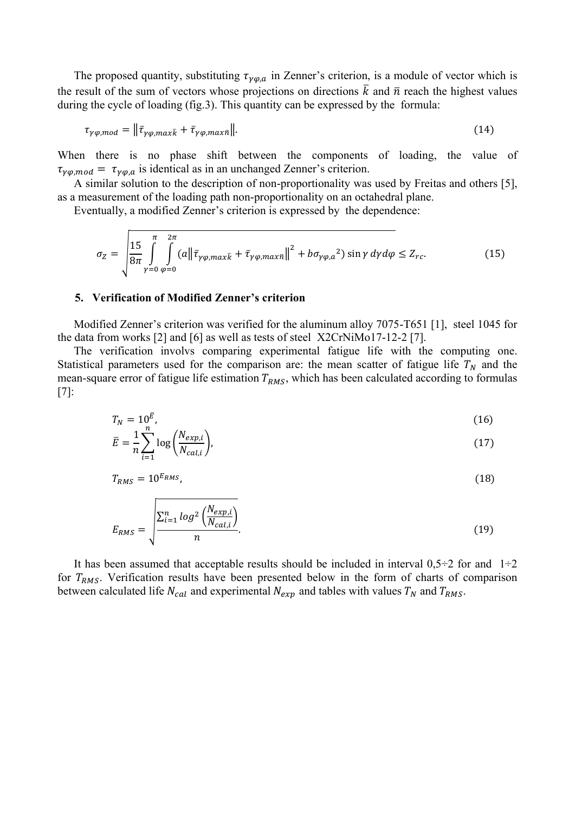The proposed quantity, substituting  $\tau_{\gamma\varphi,a}$  in Zenner's criterion, is a module of vector which is the result of the sum of vectors whose projections on directions  $\overline{k}$  and  $\overline{n}$  reach the highest values during the cycle of loading (fig.3). This quantity can be expressed by the formula:

$$
\tau_{\gamma\varphi,mod} = \|\bar{\tau}_{\gamma\varphi,max\bar{k}} + \bar{\tau}_{\gamma\varphi,max\bar{n}}\|.
$$
\n(14)

When there is no phase shift between the components of loading, the value of  $\tau_{\gamma\varphi,mod} = \tau_{\gamma\varphi,a}$  is identical as in an unchanged Zenner's criterion.

 A similar solution to the description of non-proportionality was used by Freitas and others [5], as a measurement of the loading path non-proportionality on an octahedral plane.

Eventually, a modified Zenner's criterion is expressed by the dependence:

 $\ddot{\phantom{a}}$ 

$$
\sigma_Z = \sqrt{\frac{15}{8\pi} \int_{\gamma=0}^{\pi} \int_{\varphi=0}^{2\pi} (a \left\| \bar{\tau}_{\gamma\varphi, max\bar{k}} + \bar{\tau}_{\gamma\varphi, max\bar{n}} \right\|^2 + b \sigma_{\gamma\varphi, a}^2) \sin\gamma \, d\gamma d\varphi} \le Z_{rc}.
$$
 (15)

#### **5. Verification of Modified Zenner's criterion**

Modified Zenner's criterion was verified for the aluminum alloy 7075-T651 [1], steel 1045 for the data from works [2] and [6] as well as tests of steel X2CrNiMo17-12-2 [7].

The verification involvs comparing experimental fatigue life with the computing one. Statistical parameters used for the comparison are: the mean scatter of fatigue life  $T_N$  and the mean-square error of fatigue life estimation  $T_{RMS}$ , which has been calculated according to formulas [7]:

$$
T_N = 10^{\bar{E}}, \qquad (16)
$$
  

$$
= 1 \sum_{i=1}^{n} \left( N_{exp,i} \right) \tag{17}
$$

$$
\bar{E} = \frac{1}{n} \sum_{i=1}^n \log \left( \frac{N_{exp,i}}{N_{cal,i}} \right),\tag{17}
$$

$$
T_{RMS} = 10^{E_{RMS}}.\t(18)
$$

$$
E_{RMS} = \sqrt{\frac{\sum_{i=1}^{n} \log^2 \left(\frac{N_{exp,i}}{N_{cal,i}}\right)}{n}}.
$$
\n(19)

It has been assumed that acceptable results should be included in interval  $0.5 \div 2$  for and  $1 \div 2$ for  $T_{RMS}$ . Verification results have been presented below in the form of charts of comparison between calculated life  $N_{cal}$  and experimental  $N_{exp}$  and tables with values  $T_N$  and  $T_{RMS}$ .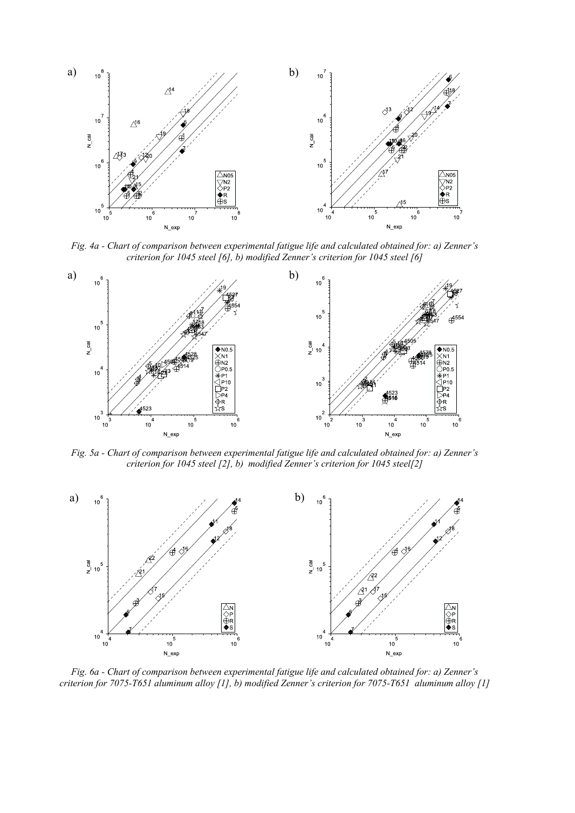

*Fig. 4a - Chart of comparison between experimental fatigue life and calculated obtained for: a) Zenner's criterion for 1045 steel [6], b) modified Zenner's criterion for 1045 steel [6]*



*Fig. 5a - Chart of comparison between experimental fatigue life and calculated obtained for: a) Zenner's criterion for 1045 steel [2], b) modified Zenner's criterion for 1045 steel[2]*



*Fig. 6a - Chart of comparison between experimental fatigue life and calculated obtained for: a) Zenner's criterion for 7075-T651 aluminum alloy [1], b) modified Zenner's criterion for 7075-T651 aluminum alloy [1]*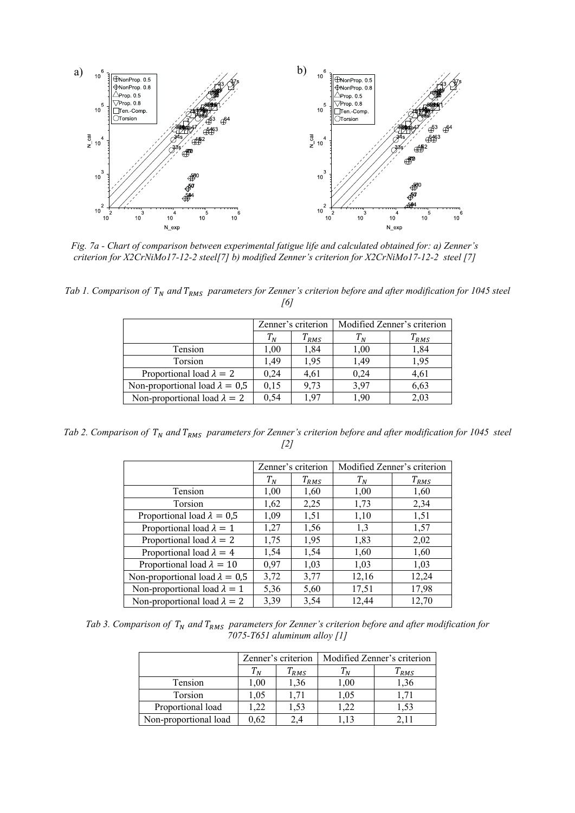

*Fig. 7a - Chart of comparison between experimental fatigue life and calculated obtained for: a) Zenner's criterion for X2CrNiMo17-12-2 steel[7] b) modified Zenner's criterion for X2CrNiMo17-12-2 steel [7]*

*Tab 1. Comparison of T<sub>N</sub> and T<sub>RMS</sub> parameters for Zenner's criterion before and after modification for 1045 steel [6]* 

|                                       | Zenner's criterion |              | Modified Zenner's criterion |           |
|---------------------------------------|--------------------|--------------|-----------------------------|-----------|
|                                       | $T^{}_N$           | $T^{}_{RMS}$ | $T_N$                       | $T_{RMS}$ |
| Tension                               | 1.00               | 1,84         | 1,00                        | 1,84      |
| Torsion                               | 1.49               | 1,95         | 1.49                        | 1,95      |
| Proportional load $\lambda = 2$       | 0.24               | 4.61         | 0,24                        | 4,61      |
| Non-proportional load $\lambda = 0.5$ | 0,15               | 9,73         | 3,97                        | 6,63      |
| Non-proportional load $\lambda = 2$   | 0,54               | 1.97         | 1.90                        | 2,03      |

*Tab 2. Comparison of T<sub>N</sub> and T<sub>RMS</sub> parameters for Zenner's criterion before and after modification for 1045 steel [2]* 

|                                       | Zenner's criterion |                       | Modified Zenner's criterion |           |
|---------------------------------------|--------------------|-----------------------|-----------------------------|-----------|
|                                       | $T_N$              | $T_{R\underline{MS}}$ | $T_N$                       | $T_{RMS}$ |
| <b>Tension</b>                        | 1,00               | 1,60                  | 1,00                        | 1,60      |
| <b>Torsion</b>                        | 1,62               | 2,25                  | 1,73                        | 2,34      |
| Proportional load $\lambda = 0.5$     | 1,09               | 1,51                  | 1,10                        | 1,51      |
| Proportional load $\lambda = 1$       | 1,27               | 1,56                  | 1,3                         | 1,57      |
| Proportional load $\lambda = 2$       | 1,75               | 1,95                  | 1,83                        | 2,02      |
| Proportional load $\lambda = 4$       | 1,54               | 1,54                  | 1,60                        | 1,60      |
| Proportional load $\lambda = 10$      | 0,97               | 1,03                  | 1,03                        | 1,03      |
| Non-proportional load $\lambda = 0.5$ | 3,72               | 3,77                  | 12,16                       | 12,24     |
| Non-proportional load $\lambda = 1$   | 5,36               | 5,60                  | 17,51                       | 17,98     |
| Non-proportional load $\lambda = 2$   | 3,39               | 3,54                  | 12,44                       | 12,70     |

Tab 3. Comparison of  $T_N$  and  $T_{RMS}$  parameters for Zenner's criterion before and after modification for *7075-T651 aluminum alloy [1]* 

|                       | Zenner's criterion |           | Modified Zenner's criterion |           |  |
|-----------------------|--------------------|-----------|-----------------------------|-----------|--|
|                       | $T_N\,$            | $T_{RMS}$ |                             | $T_{RMS}$ |  |
| Tension               | 00,                | 36.ا      | $1.00\,$                    | 1,36      |  |
| Torsion               | l.05               | .71       | 1,05                        |           |  |
| Proportional load     | .22                | 1,53      |                             | 1.53      |  |
| Non-proportional load | 0,62               | 2.4       |                             |           |  |